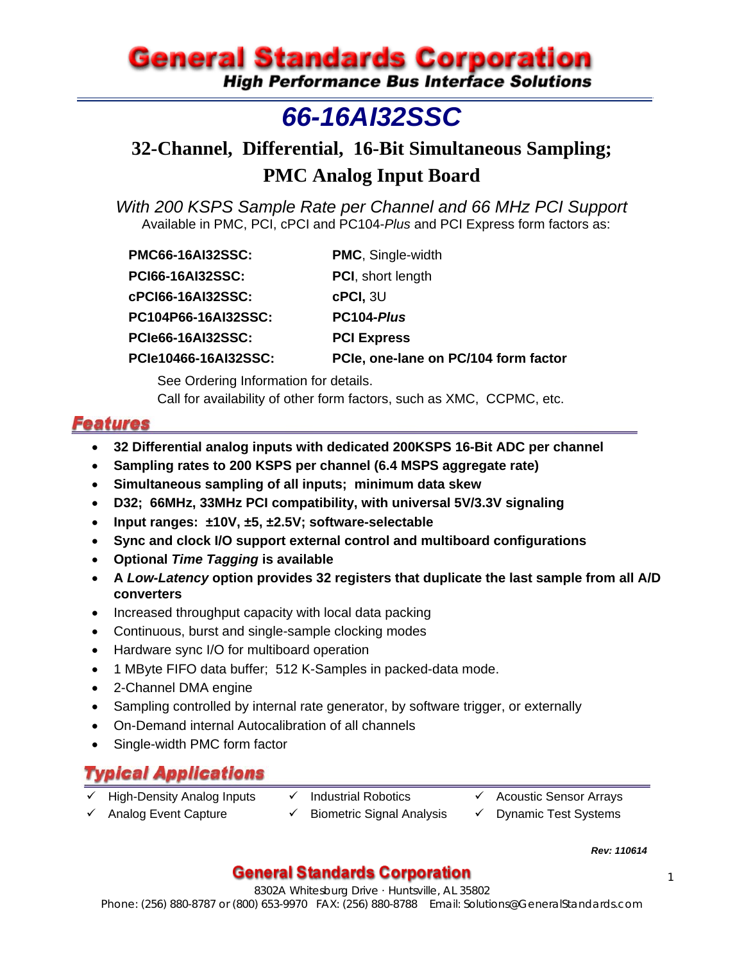# **General Standards Corporation**

**High Performance Bus Interface Solutions** 

## *66-16AI32SSC*

## **32-Channel, Differential, 16-Bit Simultaneous Sampling; PMC Analog Input Board**

*With 200 KSPS Sample Rate per Channel and 66 MHz PCI Support*  Available in PMC, PCI, cPCI and PC104-*Plus* and PCI Express form factors as:

| <b>PMC66-16AI32SSC:</b>  | <b>PMC, Single-width</b>             |
|--------------------------|--------------------------------------|
| <b>PCI66-16AI32SSC:</b>  | <b>PCI</b> , short length            |
| cPCI66-16AI32SSC:        | $c$ PCI, $3U$                        |
| PC104P66-16AI32SSC:      | PC104-Plus                           |
| <b>PCIe66-16AI32SSC:</b> | <b>PCI Express</b>                   |
| PCIe10466-16AI32SSC:     | PCIe, one-lane on PC/104 form factor |
|                          |                                      |

See Ordering Information for details. Call for availability of other form factors, such as XMC, CCPMC, etc.

## **Features**

- **32 Differential analog inputs with dedicated 200KSPS 16-Bit ADC per channel**
- **Sampling rates to 200 KSPS per channel (6.4 MSPS aggregate rate)**
- **Simultaneous sampling of all inputs; minimum data skew**
- **D32; 66MHz, 33MHz PCI compatibility, with universal 5V/3.3V signaling**
- **Input ranges: ±10V, ±5, ±2.5V; software-selectable**
- **Sync and clock I/O support external control and multiboard configurations**
- **Optional** *Time Tagging* **is available**
- **A** *Low-Latency* **option provides 32 registers that duplicate the last sample from all A/D converters**
- Increased throughput capacity with local data packing
- Continuous, burst and single-sample clocking modes
- Hardware sync I/O for multiboard operation
- 1 MByte FIFO data buffer; 512 K-Samples in packed-data mode.
- 2-Channel DMA engine
- Sampling controlled by internal rate generator, by software trigger, or externally
- On-Demand internal Autocalibration of all channels
- Single-width PMC form factor

## Typical Applications

- High-Density Analog Inputs  $\checkmark$  Industrial Robotics  $\checkmark$  Acoustic Sensor Arrays
- 
- 
- 
- $\checkmark$  Analog Event Capture  $\checkmark$  Biometric Signal Analysis  $\checkmark$  Dynamic Test Systems

*Rev: 110614*

## General Standards Corporation  $\blacksquare$

8302A Whitesburg Drive · Huntsville, AL 35802 Phone: (256) 880-8787 or (800) 653-9970 FAX: (256) 880-8788 Email: Solutions@GeneralStandards.com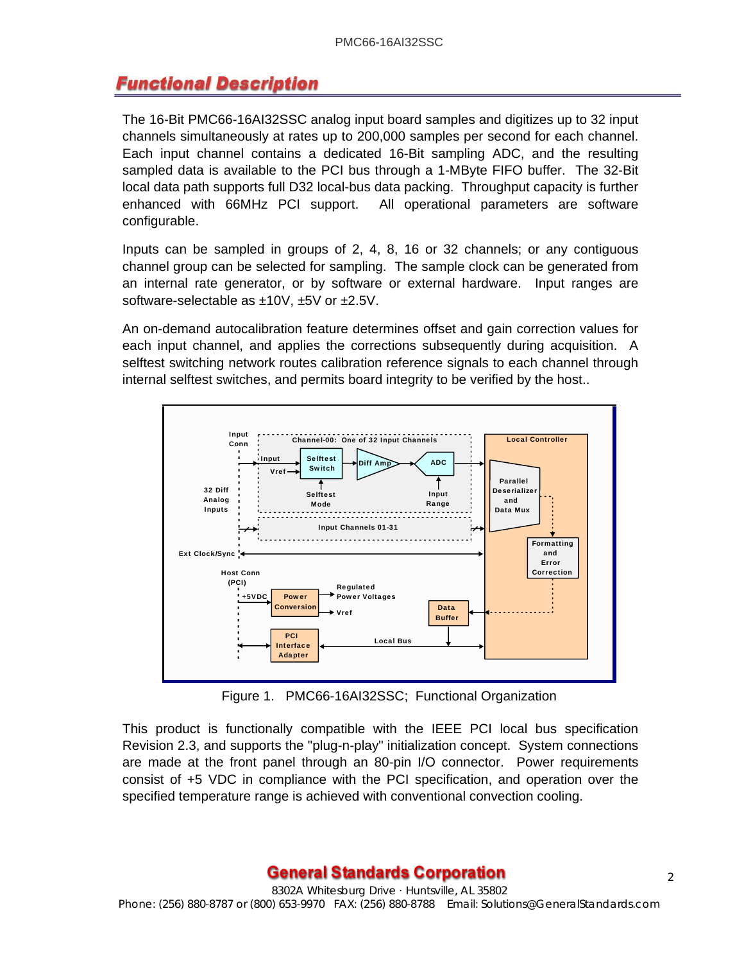## **Functional Description**

The 16-Bit PMC66-16AI32SSC analog input board samples and digitizes up to 32 input channels simultaneously at rates up to 200,000 samples per second for each channel. Each input channel contains a dedicated 16-Bit sampling ADC, and the resulting sampled data is available to the PCI bus through a 1-MByte FIFO buffer. The 32-Bit local data path supports full D32 local-bus data packing. Throughput capacity is further enhanced with 66MHz PCI support. All operational parameters are software configurable.

Inputs can be sampled in groups of 2, 4, 8, 16 or 32 channels; or any contiguous channel group can be selected for sampling. The sample clock can be generated from an internal rate generator, or by software or external hardware. Input ranges are software-selectable as ±10V, ±5V or ±2.5V.

An on-demand autocalibration feature determines offset and gain correction values for each input channel, and applies the corrections subsequently during acquisition. A selftest switching network routes calibration reference signals to each channel through internal selftest switches, and permits board integrity to be verified by the host..



Figure 1. PMC66-16AI32SSC; Functional Organization

This product is functionally compatible with the IEEE PCI local bus specification Revision 2.3, and supports the "plug-n-play" initialization concept. System connections are made at the front panel through an 80-pin I/O connector. Power requirements consist of +5 VDC in compliance with the PCI specification, and operation over the specified temperature range is achieved with conventional convection cooling.

#### General Standards Corporation  $_{2}$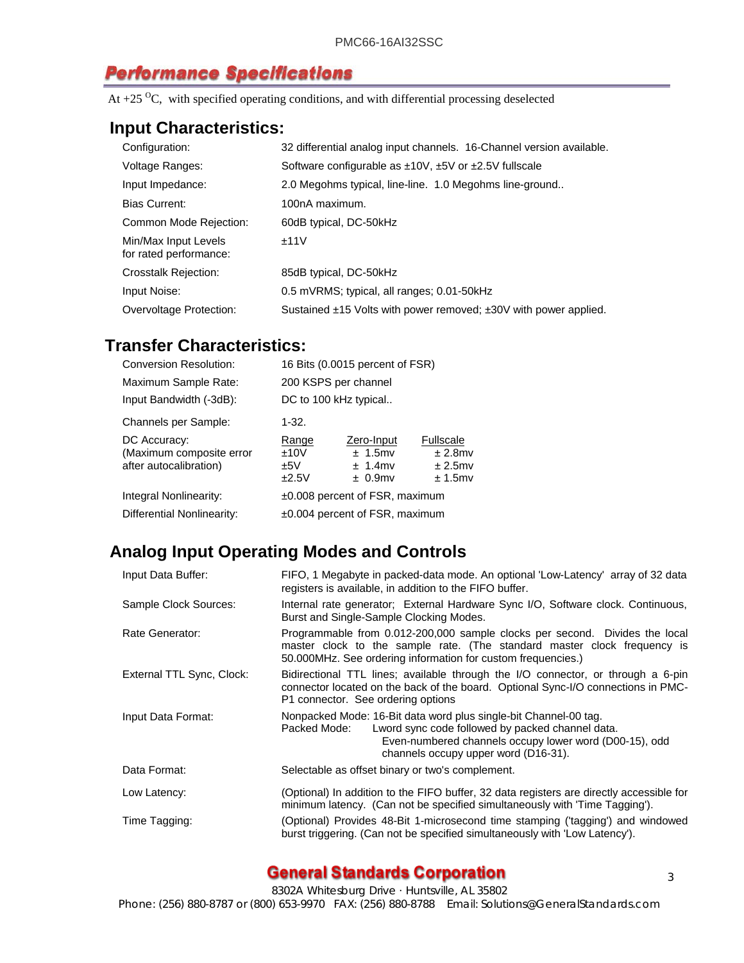## **Performance Specifications**

At  $+25$  <sup>O</sup>C, with specified operating conditions, and with differential processing deselected

#### **Input Characteristics:**

| Configuration:                                 | 32 differential analog input channels. 16-Channel version available.       |
|------------------------------------------------|----------------------------------------------------------------------------|
| Voltage Ranges:                                | Software configurable as $\pm 10V$ , $\pm 5V$ or $\pm 2.5V$ fullscale      |
| Input Impedance:                               | 2.0 Megohms typical, line-line. 1.0 Megohms line-ground                    |
| <b>Bias Current:</b>                           | 100nA maximum.                                                             |
| Common Mode Rejection:                         | 60dB typical, DC-50kHz                                                     |
| Min/Max Input Levels<br>for rated performance: | ±11V                                                                       |
| <b>Crosstalk Rejection:</b>                    | 85dB typical, DC-50kHz                                                     |
| Input Noise:                                   | 0.5 mVRMS; typical, all ranges; 0.01-50kHz                                 |
| Overvoltage Protection:                        | Sustained $\pm$ 15 Volts with power removed; $\pm$ 30V with power applied. |

## **Transfer Characteristics:**

| <b>Conversion Resolution:</b>                                      |                                | 16 Bits (0.0015 percent of FSR)                      |                                                            |  |
|--------------------------------------------------------------------|--------------------------------|------------------------------------------------------|------------------------------------------------------------|--|
| Maximum Sample Rate:                                               | 200 KSPS per channel           |                                                      |                                                            |  |
| Input Bandwidth (-3dB):                                            | DC to 100 kHz typical          |                                                      |                                                            |  |
| Channels per Sample:                                               | 1-32.                          |                                                      |                                                            |  |
| DC Accuracy:<br>(Maximum composite error<br>after autocalibration) | Range<br>±10V<br>±5V<br>±2.5V  | Zero-Input<br>$± 1.5$ mv<br>$± 1.4$ mv<br>$± 0.9$ mv | <b>Fullscale</b><br>$± 2.8$ mv<br>$± 2.5$ mv<br>$± 1.5$ mv |  |
| Integral Nonlinearity:                                             | ±0.008 percent of FSR, maximum |                                                      |                                                            |  |
| Differential Nonlinearity:                                         | ±0.004 percent of FSR, maximum |                                                      |                                                            |  |
|                                                                    |                                |                                                      |                                                            |  |

## **Analog Input Operating Modes and Controls**

| Input Data Buffer:        | FIFO, 1 Megabyte in packed-data mode. An optional 'Low-Latency' array of 32 data<br>registers is available, in addition to the FIFO buffer.                                                                                            |  |  |
|---------------------------|----------------------------------------------------------------------------------------------------------------------------------------------------------------------------------------------------------------------------------------|--|--|
| Sample Clock Sources:     | Internal rate generator; External Hardware Sync I/O, Software clock. Continuous,<br>Burst and Single-Sample Clocking Modes.                                                                                                            |  |  |
| Rate Generator:           | Programmable from 0.012-200,000 sample clocks per second. Divides the local<br>master clock to the sample rate. (The standard master clock frequency is<br>50.000MHz. See ordering information for custom frequencies.)                |  |  |
| External TTL Sync, Clock: | Bidirectional TTL lines; available through the I/O connector, or through a 6-pin<br>connector located on the back of the board. Optional Sync-I/O connections in PMC-<br>P1 connector. See ordering options                            |  |  |
| Input Data Format:        | Nonpacked Mode: 16-Bit data word plus single-bit Channel-00 tag.<br>Lword sync code followed by packed channel data.<br>Packed Mode:<br>Even-numbered channels occupy lower word (D00-15), odd<br>channels occupy upper word (D16-31). |  |  |
| Data Format:              | Selectable as offset binary or two's complement.                                                                                                                                                                                       |  |  |
| Low Latency:              | (Optional) In addition to the FIFO buffer, 32 data registers are directly accessible for<br>minimum latency. (Can not be specified simultaneously with 'Time Tagging').                                                                |  |  |
| Time Tagging:             | (Optional) Provides 48-Bit 1-microsecond time stamping ('tagging') and windowed<br>burst triggering. (Can not be specified simultaneously with 'Low Latency').                                                                         |  |  |

#### **General Standards Corporation Exercise 23**

8302A Whitesburg Drive · Huntsville, AL 35802

Phone: (256) 880-8787 or (800) 653-9970 FAX: (256) 880-8788 Email: Solutions@GeneralStandards.com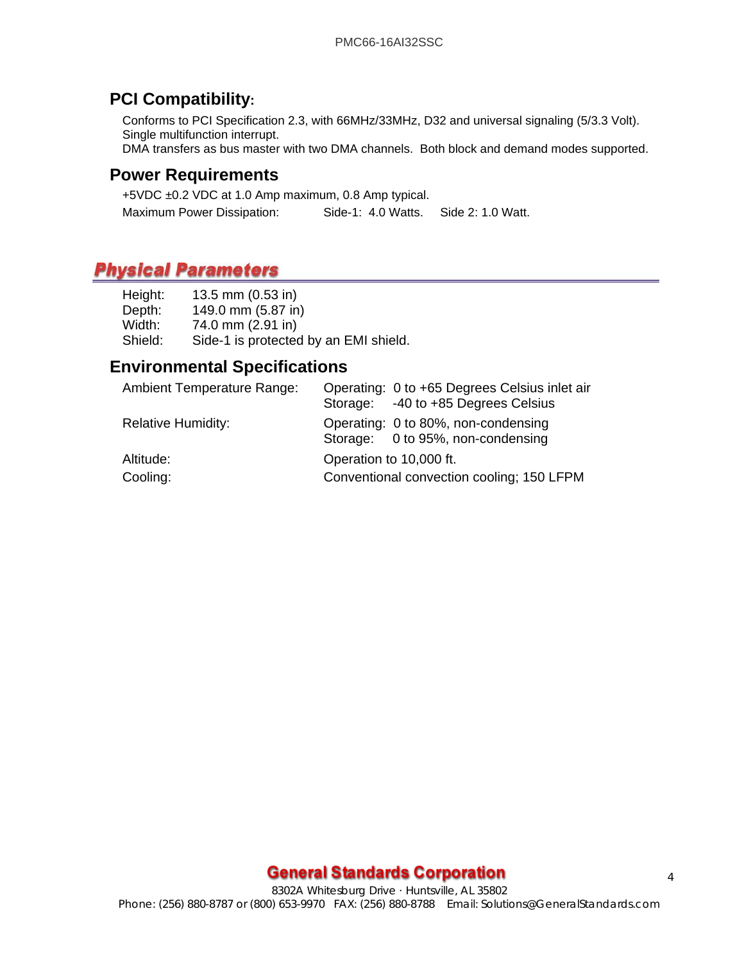#### **PCI Compatibility:**

Conforms to PCI Specification 2.3, with 66MHz/33MHz, D32 and universal signaling (5/3.3 Volt). Single multifunction interrupt.

DMA transfers as bus master with two DMA channels. Both block and demand modes supported.

#### **Power Requirements**

+5VDC ±0.2 VDC at 1.0 Amp maximum, 0.8 Amp typical. Maximum Power Dissipation: Side-1: 4.0 Watts. Side 2: 1.0 Watt.

## **Mechanical Characteristics (PMC Form Factor)**

| Height: | 13.5 mm $(0.53$ in)                   |
|---------|---------------------------------------|
| Depth:  | 149.0 mm (5.87 in)                    |
| Width:  | 74.0 mm (2.91 in)                     |
| Shield: | Side-1 is protected by an EMI shield. |
|         |                                       |

#### **Environmental Specifications**

| <b>Ambient Temperature Range:</b> | Operating: 0 to +65 Degrees Celsius inlet air |
|-----------------------------------|-----------------------------------------------|
|                                   | Storage: -40 to +85 Degrees Celsius           |
| <b>Relative Humidity:</b>         | Operating: 0 to 80%, non-condensing           |
|                                   | Storage: 0 to 95%, non-condensing             |
| Altitude:                         | Operation to 10,000 ft.                       |
| Cooling:                          | Conventional convection cooling; 150 LFPM     |

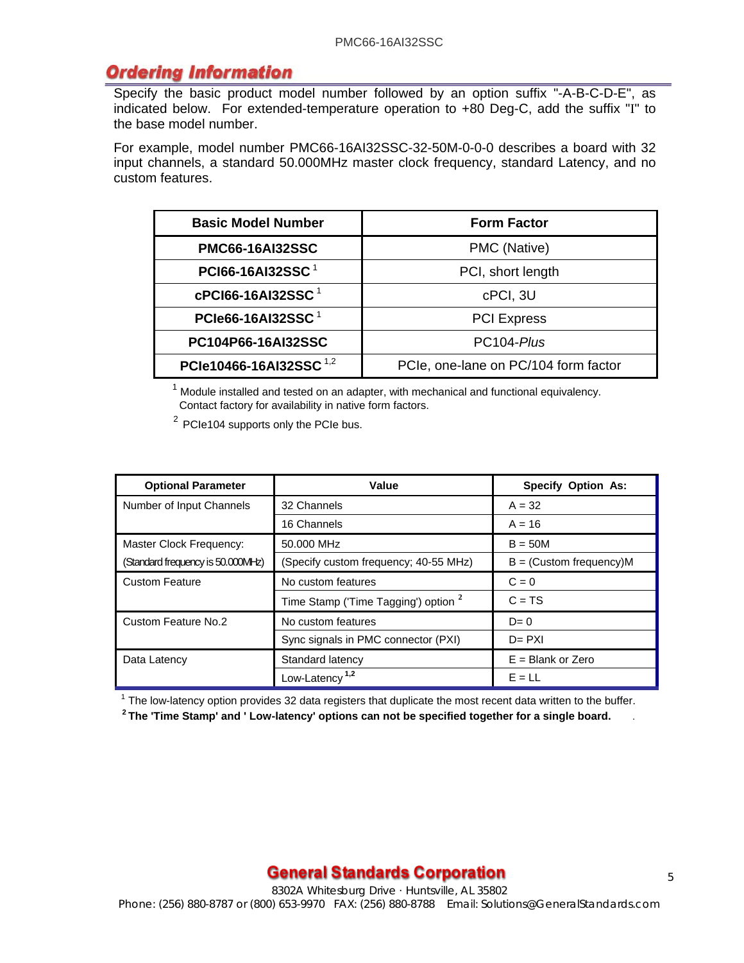#### **Ordering Information**

Specify the basic product model number followed by an option suffix "-A-B-C-D-E", as indicated below. For extended-temperature operation to +80 Deg-C, add the suffix "I" to the base model number.

For example, model number PMC66-16AI32SSC-32-50M-0-0-0 describes a board with 32 input channels, a standard 50.000MHz master clock frequency, standard Latency, and no custom features.

| <b>Basic Model Number</b>                         | <b>Form Factor</b>                   |  |
|---------------------------------------------------|--------------------------------------|--|
| <b>PMC66-16AI32SSC</b>                            | PMC (Native)                         |  |
| PCI66-16AI32SSC <sup>1</sup><br>PCI, short length |                                      |  |
| cPCI66-16AI32SSC <sup>1</sup>                     | cPCI, 3U                             |  |
| PCIe66-16AI32SSC $1$                              | <b>PCI Express</b>                   |  |
| <b>PC104P66-16AI32SSC</b>                         | PC104-Plus                           |  |
| PCle10466-16AI32SSC <sup>1,2</sup>                | PCIe, one-lane on PC/104 form factor |  |

 $1$  Module installed and tested on an adapter, with mechanical and functional equivalency. Contact factory for availability in native form factors.

2 PCIe104 supports only the PCIe bus.

| <b>Optional Parameter</b>         | Value                                           | <b>Specify Option As:</b>    |
|-----------------------------------|-------------------------------------------------|------------------------------|
| Number of Input Channels          | 32 Channels                                     | $A = 32$                     |
|                                   | 16 Channels                                     | $A = 16$                     |
| Master Clock Frequency:           | 50.000 MHz                                      | $B = 50M$                    |
| (Standard frequency is 50.000MHz) | (Specify custom frequency; 40-55 MHz)           | $B = (Customer frequency)$ M |
| <b>Custom Feature</b>             | No custom features                              | $C = 0$                      |
|                                   | Time Stamp ('Time Tagging') option <sup>2</sup> | $C = TS$                     |
| Custom Feature No.2               | No custom features                              | $D=0$                        |
|                                   | Sync signals in PMC connector (PXI)             | $D = PXI$                    |
| Data Latency                      | Standard latency                                | $E =$ Blank or Zero          |
|                                   | Low-Latency <sup>1,2</sup>                      | $E = LL$                     |

 $1$  The low-latency option provides 32 data registers that duplicate the most recent data written to the buffer.

**2 The 'Time Stamp' and ' Low-latency' options can not be specified together for a single board.** .

#### **General Standards Corporation Example 2014**

8302A Whitesburg Drive · Huntsville, AL 35802 Phone: (256) 880-8787 or (800) 653-9970 FAX: (256) 880-8788 Email: Solutions@GeneralStandards.com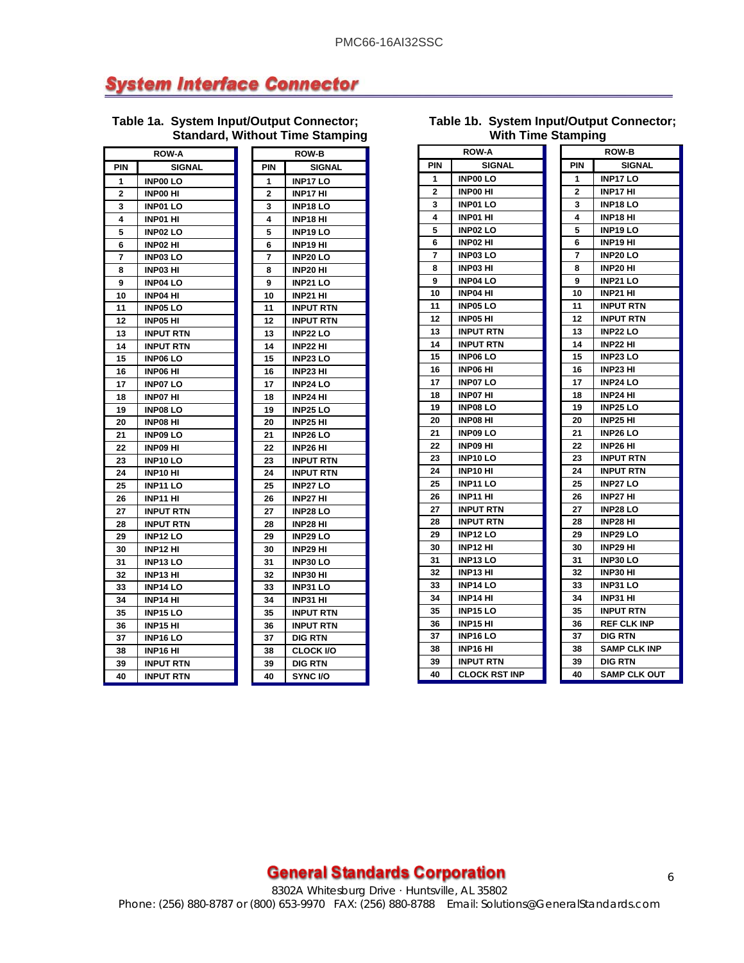## **System Interface Connector**

**Table 1a. System Input/Output Connector; Standard, Without Time Stamping**

| ROW-A |                  | <b>ROW-B</b> |                  |
|-------|------------------|--------------|------------------|
| PIN   | <b>SIGNAL</b>    | PIN          | <b>SIGNAL</b>    |
| 1     | <b>INP00 LO</b>  | 1            | <b>INP17LO</b>   |
| 2     | <b>INPOO HI</b>  | 2            | INP17 HI         |
| 3     | <b>INP01LO</b>   | 3            | <b>INP18LO</b>   |
| 4     | <b>INP01 HI</b>  | 4            | <b>INP18 HI</b>  |
| 5     | <b>INP02LO</b>   | 5            | <b>INP19 LO</b>  |
| 6     | <b>INP02 HI</b>  | 6            | INP19 HI         |
| 7     | <b>INP03LO</b>   | 7            | <b>INP20LO</b>   |
| 8     | INP03 HI         | 8            | INP20 HI         |
| 9     | <b>INP04 LO</b>  | 9            | <b>INP21 LO</b>  |
| 10    | INP04 HI         | 10           | <b>INP21 HI</b>  |
| 11    | <b>INP05LO</b>   | 11           | <b>INPUT RTN</b> |
| 12    | <b>INP05 HI</b>  | 12           | <b>INPUT RTN</b> |
| 13    | <b>INPUT RTN</b> | 13           | <b>INP22 LO</b>  |
| 14    | <b>INPUT RTN</b> | 14           | <b>INP22 HI</b>  |
| 15    | <b>INP06 LO</b>  | 15           | <b>INP23 LO</b>  |
| 16    | <b>INP06 HI</b>  | 16           | <b>INP23 HI</b>  |
| 17    | <b>INP07LO</b>   | 17           | <b>INP24 LO</b>  |
| 18    | <b>INP07 HI</b>  | 18           | <b>INP24 HI</b>  |
| 19    | <b>INP08 LO</b>  | 19           | <b>INP25 LO</b>  |
| 20    | INP08 HI         | 20           | <b>INP25 HI</b>  |
| 21    | <b>INP09 LO</b>  | 21           | <b>INP26 LO</b>  |
| 22    | <b>INP09 HI</b>  | 22           | INP26 HI         |
| 23    | INP10 LO         | 23           | <b>INPUT RTN</b> |
| 24    | INP10 HI         | 24           | <b>INPUT RTN</b> |
| 25    | <b>INP11 LO</b>  | 25           | <b>INP27 LO</b>  |
| 26    | <b>INP11 HI</b>  | 26           | <b>INP27 HI</b>  |
| 27    | <b>INPUT RTN</b> | 27           | <b>INP28 LO</b>  |
| 28    | <b>INPUT RTN</b> | 28           | <b>INP28 HI</b>  |
| 29    | <b>INP12 LO</b>  | 29           | <b>INP29 LO</b>  |
| 30    | <b>INP12 HI</b>  | 30           | INP29 HI         |
| 31    | <b>INP13 LO</b>  | 31           | <b>INP30 LO</b>  |
| 32    | INP13 HI         | 32           | INP30 HI         |
| 33    | <b>INP14 LO</b>  | 33           | INP31 LO         |
| 34    | INP14 HI         | 34           | <b>INP31 HI</b>  |
| 35    | <b>INP15 LO</b>  | 35           | <b>INPUT RTN</b> |
| 36    | INP15 HI         | 36           | <b>INPUT RTN</b> |
| 37    | <b>INP16 LO</b>  | 37           | <b>DIG RTN</b>   |
| 38    | INP16 HI         | 38           | <b>CLOCK I/O</b> |
| 39    | <b>INPUT RTN</b> | 39           | DIG RTN          |
| 40    | INPUT RTN        | 40           | <b>SYNC I/O</b>  |

| μ<br>L.<br>٠   | ш<br>н<br>ш<br>н<br>в<br>u<br>н<br>ישיי<br>ч |
|----------------|----------------------------------------------|
|                | <b>ROW-B</b>                                 |
| PIN            | <b>SIGNAL</b>                                |
| 1              | <b>INP17LO</b>                               |
| $\overline{2}$ | INP17 HI                                     |
| 3              | <b>INP18LO</b>                               |
| 4              | <b>INP18 HI</b>                              |
| 5              | <b>INP19LO</b>                               |
| 6              | INP19 HI                                     |
| 7              | <b>INP20LO</b>                               |
| 8              | <b>INP20 HI</b>                              |
| 9              | <b>INP21 LO</b>                              |
| 10             | <b>INP21 HI</b>                              |
| 11             | <b>INPUT RTN</b>                             |
| 12             | <b>INPUT RTN</b>                             |
| 13             | INP22 LO                                     |
| 14             | INP22 HI                                     |
| 15             | INP23 LO                                     |
| 16             | <b>INP23 HI</b>                              |
| 17             | <b>INP24 LO</b>                              |
| 18             | <b>INP24 HI</b>                              |
| 19             | <b>INP25 LO</b>                              |
| 20             | <b>INP25 HI</b>                              |
| 21             | <b>INP26 LO</b>                              |
| 22             | INP26 HI                                     |
| 23             | <b>INPUT RTN</b>                             |
| 24             | <b>INPUT RTN</b>                             |
| 25             | <b>INP27 LO</b>                              |
| 26             | <b>INP27 HI</b>                              |
| 27             | <b>INP28 LO</b>                              |
| 28             | INP28 HI                                     |
| 29             | INP29 LO                                     |
| 30             | INP29 HI                                     |
| 31             | INP30LO                                      |
| 32             | INP30 HI                                     |
| 33             | <b>INP31 LO</b>                              |
| 34             | <b>INP31 HI</b>                              |
| 35             | <b>INPUT RTN</b>                             |
| 36             | <b>INPUT RTN</b>                             |
| 37             | <b>DIG RTN</b>                               |
| 38             | <b>CLOCK I/O</b>                             |
| 39             | DIG RTN                                      |
| 40             | SYNC I/O                                     |

|                | 771WI 1111<br>∖ampiny |  |     |                     |  |
|----------------|-----------------------|--|-----|---------------------|--|
|                | <b>ROW-A</b>          |  |     | <b>ROW-B</b>        |  |
| PIN            | SIGNAL                |  | PIN | SIGNAL              |  |
| 1              | <b>INP00 LO</b>       |  | 1   | <b>INP17 LO</b>     |  |
| $\overline{2}$ | <b>INPOO HI</b>       |  | 2   | INP17 HI            |  |
| 3              | <b>INP01 LO</b>       |  | 3   | <b>INP18 LO</b>     |  |
| 4              | INP01 HI              |  | 4   | INP18 HI            |  |
| 5              | <b>INP02 LO</b>       |  | 5   | INP19 LO            |  |
| 6              | INP02 HI              |  | 6   | INP19 HI            |  |
| 7              | <b>INP03LO</b>        |  | 7   | <b>INP20 LO</b>     |  |
| 8              | <b>INP03 HI</b>       |  | 8   | <b>INP20 HI</b>     |  |
| 9              | <b>INP04 LO</b>       |  | 9   | <b>INP21 LO</b>     |  |
| 10             | INP04 HI              |  | 10  | INP21 HI            |  |
| 11             | <b>INP05 LO</b>       |  | 11  | <b>INPUT RTN</b>    |  |
| 12             | INP05 HI              |  | 12  | <b>INPUT RTN</b>    |  |
| 13             | INPUT RTN             |  | 13  | <b>INP22 LO</b>     |  |
| 14             | <b>INPUT RTN</b>      |  | 14  | <b>INP22 HI</b>     |  |
| 15             | <b>INP06 LO</b>       |  | 15  | <b>INP23 LO</b>     |  |
| 16             | INP06 HI              |  | 16  | INP23 HI            |  |
| 17             | <b>INP07LO</b>        |  | 17  | <b>INP24 LO</b>     |  |
| 18             | <b>INP07 HI</b>       |  | 18  | <b>INP24 HI</b>     |  |
| 19             | <b>INP08LO</b>        |  | 19  | <b>INP25 LO</b>     |  |
| 20             | INP08 HI              |  | 20  | INP25 HI            |  |
| 21             | <b>INP09 LO</b>       |  | 21  | <b>INP26 LO</b>     |  |
| 22             | INP09 HI              |  | 22  | INP26 HI            |  |
| 23             | <b>INP10 LO</b>       |  | 23  | <b>INPUT RTN</b>    |  |
| 24             | INP10 HI              |  | 24  | <b>INPUT RTN</b>    |  |
| 25             | <b>INP11 LO</b>       |  | 25  | <b>INP27 LO</b>     |  |
| 26             | <b>INP11 HI</b>       |  | 26  | <b>INP27 HI</b>     |  |
| 27             | <b>INPUT RTN</b>      |  | 27  | <b>INP28 LO</b>     |  |
| 28             | <b>INPUT RTN</b>      |  | 28  | INP28 HI            |  |
| 29             | <b>INP12 LO</b>       |  | 29  | <b>INP29 LO</b>     |  |
| 30             | INP12 HI              |  | 30  | INP29 HI            |  |
| 31             | <b>INP13LO</b>        |  | 31  | <b>INP30 LO</b>     |  |
| 32             | INP13 HI              |  | 32  | INP30 HI            |  |
| 33             | <b>INP14 LO</b>       |  | 33  | <b>INP31 LO</b>     |  |
| 34             | INP14 HI              |  | 34  | INP31 HI            |  |
| 35             | <b>INP15 LO</b>       |  | 35  | <b>INPUT RTN</b>    |  |
| 36             | INP15 HI              |  | 36  | <b>REF CLK INP</b>  |  |
| 37             | <b>INP16LO</b>        |  | 37  | <b>DIG RTN</b>      |  |
| 38             | INP16 HI              |  | 38  | <b>SAMP CLK INP</b> |  |
| 39             | <b>INPUT RTN</b>      |  | 39  | <b>DIG RTN</b>      |  |

40 CLOCK RST INP 40 SAMP CLK OUT

#### **Table 1b. System Input/Output Connector; With Time Stamping**

## **General Standards Corporation Annual Standard Standard Standard Standard Standard Standard Standard Standard S**